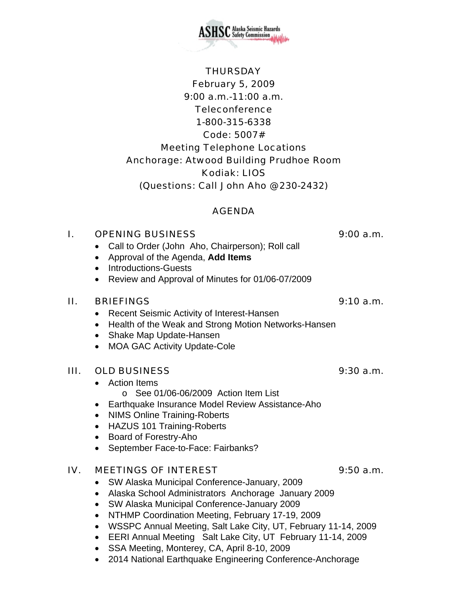February 5, 2009 9:00 a.m.-11:00 a.m. **Teleconference** 1-800-315-6338 Code: 5007# Meeting Telephone Locations Anchorage: Atwood Building Prudhoe Room Kodiak: LIOS (Questions: Call John Aho @ 230-2432)

#### AGENDA

#### I. OPENING BUSINESS 9:00 a.m.

- Call to Order (John Aho, Chairperson); Roll call
- Approval of the Agenda, **Add Items**
- Introductions-Guests
- Review and Approval of Minutes for 01/06-07/2009

#### II. BRIEFINGS 9:10 a.m.

- Recent Seismic Activity of Interest-Hansen
- Health of the Weak and Strong Motion Networks-Hansen
- Shake Map Update-Hansen
- MOA GAC Activity Update-Cole

## III. OLD BUSINESS 9:30 a.m.

- Action Items
	- o See 01/06-06/2009 Action Item List
- Earthquake Insurance Model Review Assistance-Aho
- NIMS Online Training-Roberts
- HAZUS 101 Training-Roberts
- Board of Forestry-Aho
- September Face-to-Face: Fairbanks?

## IV. MEETINGS OF INTEREST 9:50 a.m.

- SW Alaska Municipal Conference-January, 2009
- Alaska School Administrators Anchorage January 2009
- SW Alaska Municipal Conference-January 2009
- NTHMP Coordination Meeting, February 17-19, 2009
- WSSPC Annual Meeting, Salt Lake City, UT, February 11-14, 2009
- EERI Annual Meeting Salt Lake City, UT February 11-14, 2009
- SSA Meeting, Monterey, CA, April 8-10, 2009
- 2014 National Earthquake Engineering Conference-Anchorage

THURSDAY